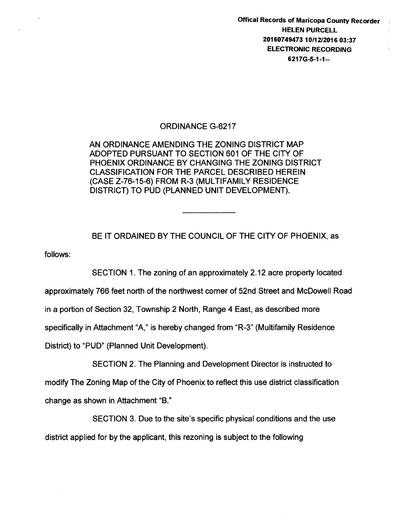Offical Records of Maricopa County Recorder HELEN PURCELL 20160749473 10/12/2016 03:37 ELECTRONIC RECORDING 62176-5-1-1--

## ORDINANCE G-6217

AN ORDINANCE AMENDING THE ZONING DISTRICT MAP ADOPTED PURSUANT TO SECTION 601 OF THE CITY OF PHOENIX ORDINANCE BY CHANGING THE ZONING DISTRICT CLASSIFICATION FOR THE PARCEL DESCRIBED HEREIN (CASE Z-76-15-6) FROM R-3 (MULTIFAMILY RESIDENCE DISTRICT) TO PUD (PLANNED UNIT DEVELOPMENT).

follows: BE IT ORDAINED BY THE COUNCIL OF THE CITY OF PHOENIX, as

SECTION 1. The zoning of an approximately 2.12 acre property located approximately 766 feet north of the northwest corner of 52nd Street and McDowell Road in a portion of Section 32, Township 2 North, Range 4 East, as described more specifically in Attachment "A," is hereby changed from "R-3" (Multifamily Residence District) to "PUD" (Planned Unit Development).

SECTION 2. The Planning and Development Director is instructed to modify The Zoning Map of the City of Phoenix to reflect this use district classification change as shown in Attachment "B."

SECTION 3. Due to the site's specific physical conditions and the use district applied for by the applicant, this rezoning is subject to the following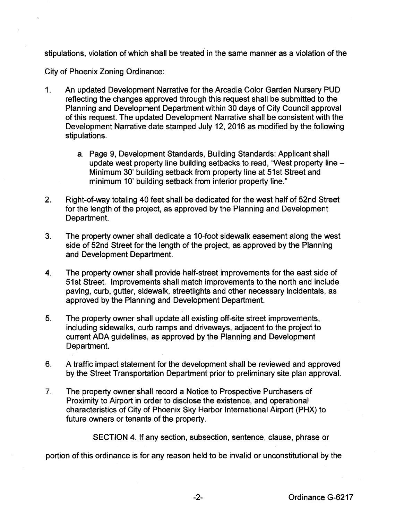stipulations, violation of which shall be treated in the same manner as a violation of the

City of Phoenix Zoning Ordinance:

- 1. An updated Development Narrative for the Arcadia Color Garden Nursery PUD reflecting the changes approved through this request shall be submitted to the Planning and Development Department within 30 days of City Council approval of this request. The updated Development Narrative shall be consistent with the Development Narrative date stamped July 12, 2016 as modified by the following stipulations.
	- a. Page 9, Development Standards, Building Standards: Applicant shall update west property line building setbacks to read, 'West property line-Minimum 30' building setback from property line at 51st Street and minimum 10' building setback from interior property line."
- 2. Right-of-way totaling 40 feet shall be dedicated for the west half of 52nd Street for the length of the project, as approved by the Planning and Development Department.
- 3. The property owner shall dedicate a 1 0-foot sidewalk easement along the west side of 52nd Street for the length of the project, as approved by the Planning and Development Department.
- 4. The property owner shall provide half-street improvements for the east side of 51st Street. Improvements shall match improvements to the north and include paving, curb, gutter, sidewalk, streetlights and other necessary incidentals, as approved by the Planning and Development Department.
- 5. The property owner shall update all existing off-site street improvements, including sidewalks, curb ramps and driveways, adjacent to the project to current ADA guidelines, as approved by the Planning and Development Department.
- 6. A traffic impact statement for the development shall be reviewed and approved by the Street Transportation Department prior to preliminary site plan approval.
- 7. The property owner shall record a Notice to Prospective Purchasers of Proximity to Airport in order to disclose the existence, and operational characteristics of City of Phoenix Sky Harbor International Airport (PHX) to future owners or tenants of the property.

SECTION 4. If any section, subsection, sentence, clause, phrase or

portion of this ordinance is for any reason held to be invalid or unconstitutional by the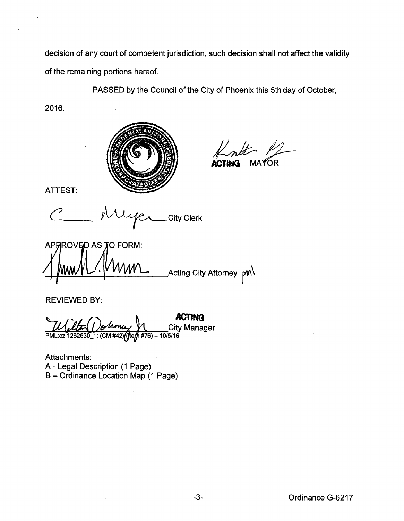decision of any court of competent jurisdiction, such decision shall not affect the validity of the remaining portions hereof.

PASSED by the Council of the City of Phoenix this 5th day of October,

2016.



**ACJit.Q** MA 'f6R

ATTEST:

*\_City Clerk* 

APRROVED AS TO FORM: \_\_Acting City Attorney  $p$ m $\backslash$ 

REVIEWED BY:

**ACTING**   $\underbrace{U\cup U\rightarrow\cdots}_{\text{PML:cz:1262630}}\underbrace{1.000\text{Mm}}_{\text{L:CH:282630}}\underbrace{1.000\text{Mm}}_{\text{H:2201}}\underbrace{1.000\text{Mm}}_{\text{H:281.16}}$ 10/5/16

Attachments: A- Legal Description (1 Page) B- Ordinance Location Map (1 Page)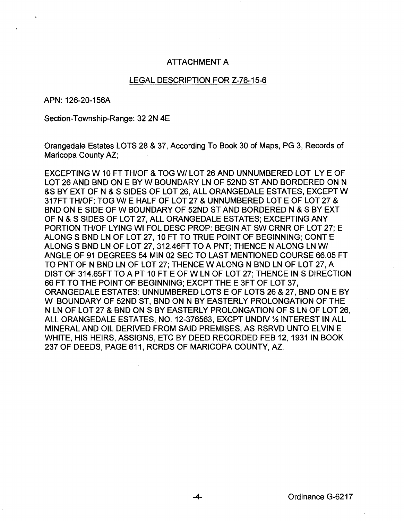## ATTACHMENT A

## LEGAL DESCRIPTION FOR Z-76-15-6

APN: 126-20-156A

Section-Township-Range: 32 2N 4E

Orangedale Estates LOTS 28 & 37, According To Book 30 of Maps, PG 3, Records of Maricopa County AZ;

EXCEPTING W 10FT THIOF & TOG WI LOT 26 AND UNNUMBERED LOT LYE OF LOT 26 AND BND ON E BY W BOUNDARY LN OF 52ND STAND BORDERED ON N &S BY EXT OF N & S SIDES OF LOT 26, ALL ORANGEDALE ESTATES, EXCEPTW 317FT THIOF; TOG WI E HALF OF LOT 27 & UNNUMBERED LOT E OF LOT 27 & BND ON E SIDE OF W BOUNDARY OF 52ND STAND BORDERED N & S BY EXT OF N & S SIDES OF LOT 27, ALL ORANGEDALE ESTATES; EXCEPTING ANY PORTION THIOF LYING WI FOL DESC PROP: BEGIN AT SW CRNR OF LOT 27; E ALONG S BND LN OF LOT 27, 10 FT TO TRUE POINT OF BEGINNING; CONTE ALONG S BND LN OF LOT 27, 312.46FT TO A PNT; THENCE N ALONG LN WI ANGLE OF 91 DEGREES 54 MIN 02 SEC TO LAST MENTIONED COURSE 66.05 FT TO PNT OF N BND LN OF LOT 27; THENCE W ALONG N BND LN OF LOT 27, A DIST OF 314.65FT TO A PT 10 FT E OF W LN OF LOT 27; THENCE IN S DIRECTION 66 FT TO THE POINT OF BEGINNING: EXCPT THE E 3FT OF LOT 37. ORANGEDALE ESTATES: UNNUMBERED LOTS E OF LOTS 26 & 27, BND ONE BY W BOUNDARY OF 52ND ST, BND ON N BY EASTERLY PROLONGATION OF THE N LN OF LOT 27 & BND ON S BY EASTERLY PROLONGATION OF S LN OF LOT 26, ALL ORANGEDALE ESTATES, NO. 12-376563, EXCPT UNDIV% INTEREST IN ALL MINERAL AND OIL DERIVED FROM SAID PREMISES, AS RSRVD UNTO ELVIN E WHITE, HIS HEIRS, ASSIGNS, ETC BY DEED RECORDED FEB 12, 1931 IN BOOK 237 OF DEEDS, PAGE 611, RCRDS OF MARICOPA COUNTY, AZ.